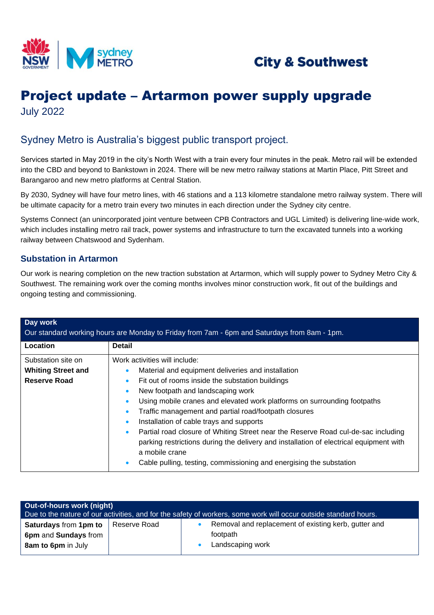



## Project update – Artarmon power supply upgrade July 2022

## Sydney Metro is Australia's biggest public transport project.

Services started in May 2019 in the city's North West with a train every four minutes in the peak. Metro rail will be extended into the CBD and beyond to Bankstown in 2024. There will be new metro railway stations at Martin Place, Pitt Street and Barangaroo and new metro platforms at Central Station.

By 2030, Sydney will have four metro lines, with 46 stations and a 113 kilometre standalone metro railway system. There will be ultimate capacity for a metro train every two minutes in each direction under the Sydney city centre.

Systems Connect (an unincorporated joint venture between CPB Contractors and UGL Limited) is delivering line-wide work, which includes installing metro rail track, power systems and infrastructure to turn the excavated tunnels into a working railway between Chatswood and Sydenham.

#### **Substation in Artarmon**

Our work is nearing completion on the new traction substation at Artarmon, which will supply power to Sydney Metro City & Southwest. The remaining work over the coming months involves minor construction work, fit out of the buildings and ongoing testing and commissioning.

| Day work<br>Our standard working hours are Monday to Friday from 7am - 6pm and Saturdays from 8am - 1pm. |                                                                                                          |  |  |  |
|----------------------------------------------------------------------------------------------------------|----------------------------------------------------------------------------------------------------------|--|--|--|
| Location                                                                                                 | <b>Detail</b>                                                                                            |  |  |  |
| Substation site on                                                                                       | Work activities will include:                                                                            |  |  |  |
| <b>Whiting Street and</b>                                                                                | Material and equipment deliveries and installation                                                       |  |  |  |
| Reserve Road                                                                                             | Fit out of rooms inside the substation buildings                                                         |  |  |  |
|                                                                                                          | New footpath and landscaping work                                                                        |  |  |  |
|                                                                                                          | Using mobile cranes and elevated work platforms on surrounding footpaths                                 |  |  |  |
|                                                                                                          | Traffic management and partial road/footpath closures                                                    |  |  |  |
|                                                                                                          | Installation of cable trays and supports                                                                 |  |  |  |
|                                                                                                          | Partial road closure of Whiting Street near the Reserve Road cul-de-sac including<br>$\bullet$           |  |  |  |
|                                                                                                          | parking restrictions during the delivery and installation of electrical equipment with<br>a mobile crane |  |  |  |
|                                                                                                          | Cable pulling, testing, commissioning and energising the substation                                      |  |  |  |

| <b>Out-of-hours work (night)</b><br>Due to the nature of our activities, and for the safety of workers, some work will occur outside standard hours. |              |  |                                                                                      |  |  |
|------------------------------------------------------------------------------------------------------------------------------------------------------|--------------|--|--------------------------------------------------------------------------------------|--|--|
| <b>Saturdays from 1pm to</b><br>6pm and Sundays from<br><b>8am to 6pm</b> in July                                                                    | Reserve Road |  | Removal and replacement of existing kerb, gutter and<br>footpath<br>Landscaping work |  |  |